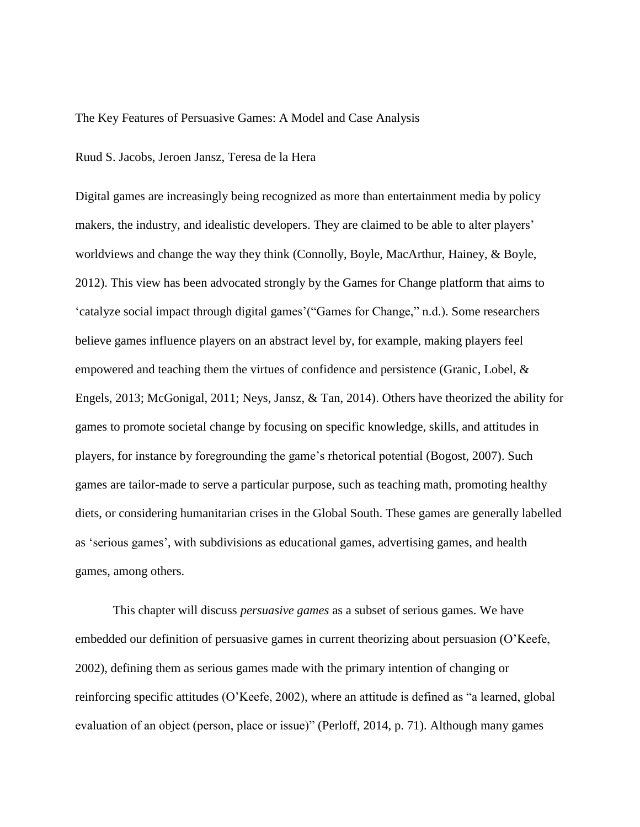#### The Key Features of Persuasive Games: A Model and Case Analysis

#### Ruud S. Jacobs, Jeroen Jansz, Teresa de la Hera

Digital games are increasingly being recognized as more than entertainment media by policy makers, the industry, and idealistic developers. They are claimed to be able to alter players' worldviews and change the way they think (Connolly, Boyle, MacArthur, Hainey, & Boyle, 2012). This view has been advocated strongly by the Games for Change platform that aims to 'catalyze social impact through digital games'("Games for Change," n.d.). Some researchers believe games influence players on an abstract level by, for example, making players feel empowered and teaching them the virtues of confidence and persistence (Granic, Lobel, & Engels, 2013; McGonigal, 2011; Neys, Jansz, & Tan, 2014). Others have theorized the ability for games to promote societal change by focusing on specific knowledge, skills, and attitudes in players, for instance by foregrounding the game's rhetorical potential (Bogost, 2007). Such games are tailor-made to serve a particular purpose, such as teaching math, promoting healthy diets, or considering humanitarian crises in the Global South. These games are generally labelled as 'serious games', with subdivisions as educational games, advertising games, and health games, among others.

This chapter will discuss *persuasive games* as a subset of serious games. We have embedded our definition of persuasive games in current theorizing about persuasion (O'Keefe, 2002), defining them as serious games made with the primary intention of changing or reinforcing specific attitudes (O'Keefe, 2002), where an attitude is defined as "a learned, global evaluation of an object (person, place or issue)" (Perloff, 2014, p. 71). Although many games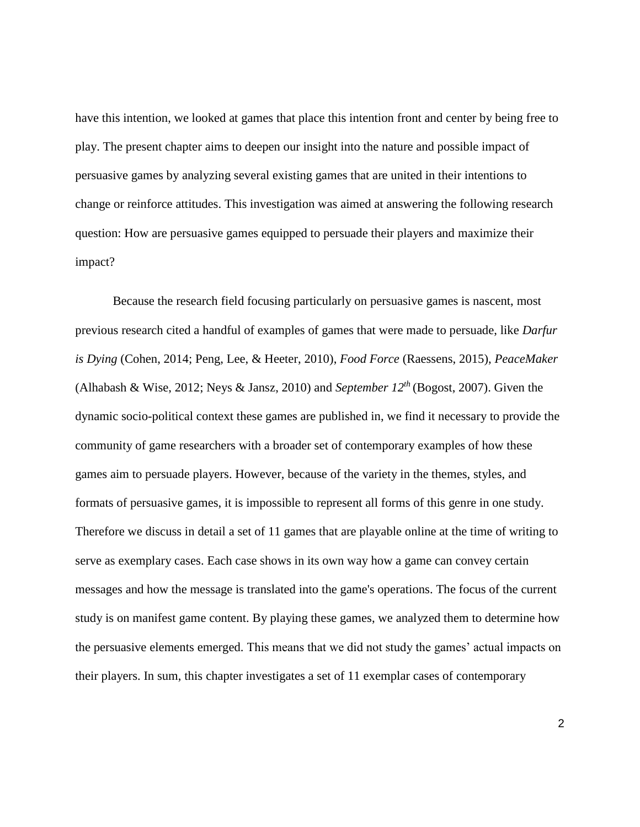have this intention, we looked at games that place this intention front and center by being free to play. The present chapter aims to deepen our insight into the nature and possible impact of persuasive games by analyzing several existing games that are united in their intentions to change or reinforce attitudes. This investigation was aimed at answering the following research question: How are persuasive games equipped to persuade their players and maximize their impact?

Because the research field focusing particularly on persuasive games is nascent, most previous research cited a handful of examples of games that were made to persuade, like *Darfur is Dying* (Cohen, 2014; Peng, Lee, & Heeter, 2010), *Food Force* (Raessens, 2015), *PeaceMaker*  (Alhabash & Wise, 2012; Neys & Jansz, 2010) and *September 12th* (Bogost, 2007). Given the dynamic socio-political context these games are published in, we find it necessary to provide the community of game researchers with a broader set of contemporary examples of how these games aim to persuade players. However, because of the variety in the themes, styles, and formats of persuasive games, it is impossible to represent all forms of this genre in one study. Therefore we discuss in detail a set of 11 games that are playable online at the time of writing to serve as exemplary cases. Each case shows in its own way how a game can convey certain messages and how the message is translated into the game's operations. The focus of the current study is on manifest game content. By playing these games, we analyzed them to determine how the persuasive elements emerged. This means that we did not study the games' actual impacts on their players. In sum, this chapter investigates a set of 11 exemplar cases of contemporary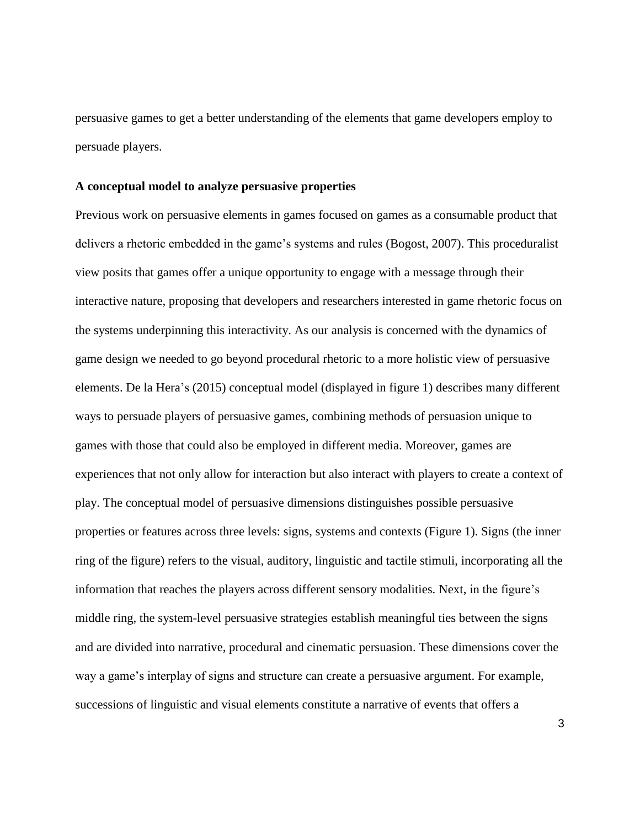persuasive games to get a better understanding of the elements that game developers employ to persuade players.

## **A conceptual model to analyze persuasive properties**

Previous work on persuasive elements in games focused on games as a consumable product that delivers a rhetoric embedded in the game's systems and rules (Bogost, 2007). This proceduralist view posits that games offer a unique opportunity to engage with a message through their interactive nature, proposing that developers and researchers interested in game rhetoric focus on the systems underpinning this interactivity. As our analysis is concerned with the dynamics of game design we needed to go beyond procedural rhetoric to a more holistic view of persuasive elements. De la Hera's (2015) conceptual model (displayed in figure 1) describes many different ways to persuade players of persuasive games, combining methods of persuasion unique to games with those that could also be employed in different media. Moreover, games are experiences that not only allow for interaction but also interact with players to create a context of play. The conceptual model of persuasive dimensions distinguishes possible persuasive properties or features across three levels: signs, systems and contexts (Figure 1). Signs (the inner ring of the figure) refers to the visual, auditory, linguistic and tactile stimuli, incorporating all the information that reaches the players across different sensory modalities. Next, in the figure's middle ring, the system-level persuasive strategies establish meaningful ties between the signs and are divided into narrative, procedural and cinematic persuasion. These dimensions cover the way a game's interplay of signs and structure can create a persuasive argument. For example, successions of linguistic and visual elements constitute a narrative of events that offers a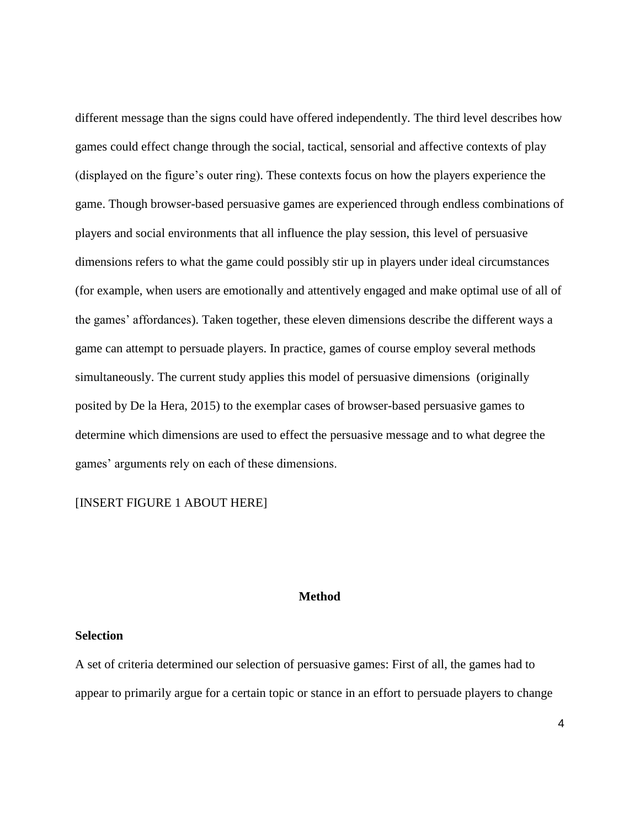different message than the signs could have offered independently. The third level describes how games could effect change through the social, tactical, sensorial and affective contexts of play (displayed on the figure's outer ring). These contexts focus on how the players experience the game. Though browser-based persuasive games are experienced through endless combinations of players and social environments that all influence the play session, this level of persuasive dimensions refers to what the game could possibly stir up in players under ideal circumstances (for example, when users are emotionally and attentively engaged and make optimal use of all of the games' affordances). Taken together, these eleven dimensions describe the different ways a game can attempt to persuade players. In practice, games of course employ several methods simultaneously. The current study applies this model of persuasive dimensions (originally posited by De la Hera, 2015) to the exemplar cases of browser-based persuasive games to determine which dimensions are used to effect the persuasive message and to what degree the games' arguments rely on each of these dimensions.

# [INSERT FIGURE 1 ABOUT HERE]

# **Method**

## **Selection**

A set of criteria determined our selection of persuasive games: First of all, the games had to appear to primarily argue for a certain topic or stance in an effort to persuade players to change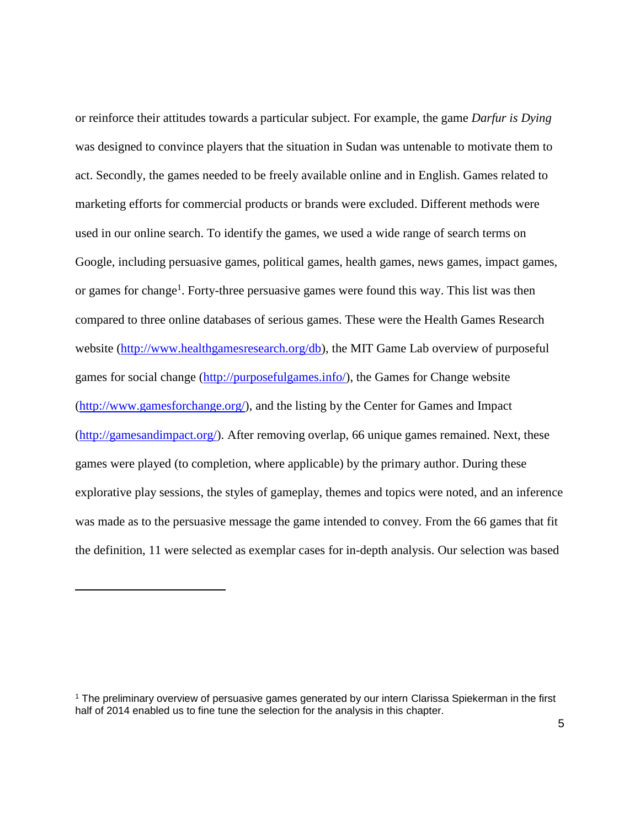or reinforce their attitudes towards a particular subject. For example, the game *Darfur is Dying* was designed to convince players that the situation in Sudan was untenable to motivate them to act. Secondly, the games needed to be freely available online and in English. Games related to marketing efforts for commercial products or brands were excluded. Different methods were used in our online search. To identify the games, we used a wide range of search terms on Google, including persuasive games, political games, health games, news games, impact games, or games for change<sup>1</sup>. Forty-three persuasive games were found this way. This list was then compared to three online databases of serious games. These were the Health Games Research website [\(http://www.healthgamesresearch.org/db\)](http://www.healthgamesresearch.org/db), the MIT Game Lab overview of purposeful games for social change [\(http://purposefulgames.info/\)](http://purposefulgames.info/), the Games for Change website [\(http://www.gamesforchange.org/\)](http://www.gamesforchange.org/), and the listing by the Center for Games and Impact [\(http://gamesandimpact.org/\)](http://gamesandimpact.org/). After removing overlap, 66 unique games remained. Next, these games were played (to completion, where applicable) by the primary author. During these explorative play sessions, the styles of gameplay, themes and topics were noted, and an inference was made as to the persuasive message the game intended to convey. From the 66 games that fit the definition, 11 were selected as exemplar cases for in-depth analysis. Our selection was based

 $\overline{a}$ 

<sup>1</sup> The preliminary overview of persuasive games generated by our intern Clarissa Spiekerman in the first half of 2014 enabled us to fine tune the selection for the analysis in this chapter.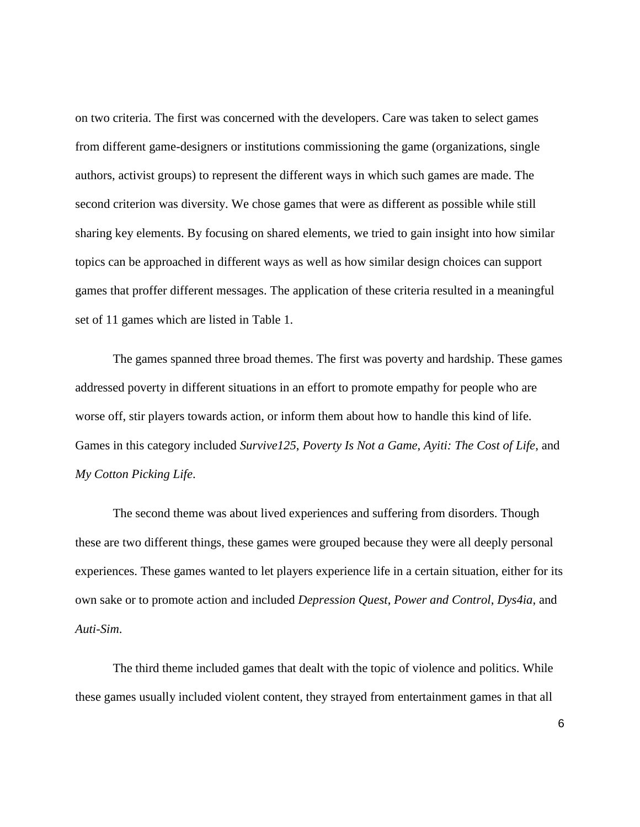on two criteria. The first was concerned with the developers. Care was taken to select games from different game-designers or institutions commissioning the game (organizations, single authors, activist groups) to represent the different ways in which such games are made. The second criterion was diversity. We chose games that were as different as possible while still sharing key elements. By focusing on shared elements, we tried to gain insight into how similar topics can be approached in different ways as well as how similar design choices can support games that proffer different messages. The application of these criteria resulted in a meaningful set of 11 games which are listed in Table 1.

The games spanned three broad themes. The first was poverty and hardship. These games addressed poverty in different situations in an effort to promote empathy for people who are worse off, stir players towards action, or inform them about how to handle this kind of life. Games in this category included *Survive125*, *Poverty Is Not a Game*, *Ayiti: The Cost of Life*, and *My Cotton Picking Life*.

The second theme was about lived experiences and suffering from disorders. Though these are two different things, these games were grouped because they were all deeply personal experiences. These games wanted to let players experience life in a certain situation, either for its own sake or to promote action and included *Depression Quest*, *Power and Control*, *Dys4ia*, and *Auti-Sim*.

The third theme included games that dealt with the topic of violence and politics. While these games usually included violent content, they strayed from entertainment games in that all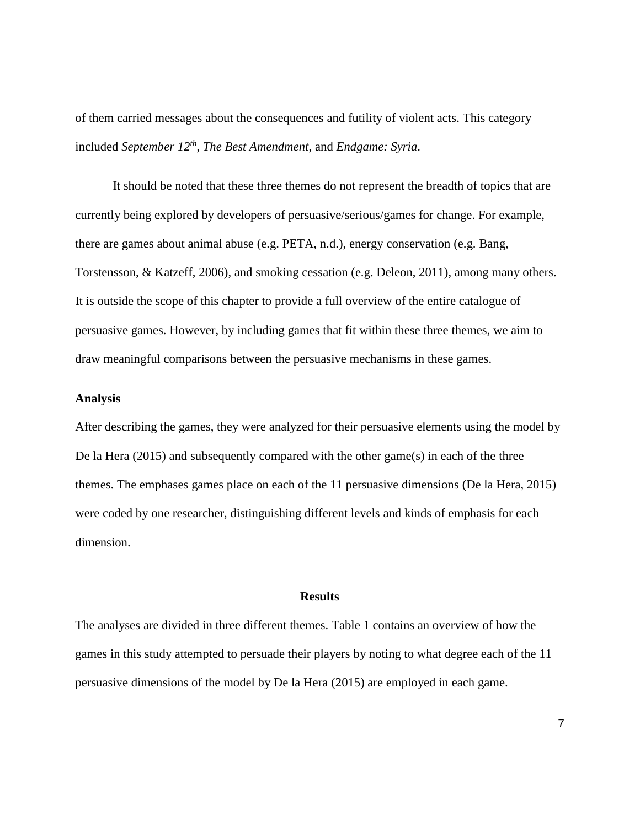of them carried messages about the consequences and futility of violent acts. This category included *September 12th* , *The Best Amendment*, and *Endgame: Syria*.

It should be noted that these three themes do not represent the breadth of topics that are currently being explored by developers of persuasive/serious/games for change. For example, there are games about animal abuse (e.g. PETA, n.d.), energy conservation (e.g. Bang, Torstensson, & Katzeff, 2006), and smoking cessation (e.g. Deleon, 2011), among many others. It is outside the scope of this chapter to provide a full overview of the entire catalogue of persuasive games. However, by including games that fit within these three themes, we aim to draw meaningful comparisons between the persuasive mechanisms in these games.

# **Analysis**

After describing the games, they were analyzed for their persuasive elements using the model by De la Hera (2015) and subsequently compared with the other game(s) in each of the three themes. The emphases games place on each of the 11 persuasive dimensions (De la Hera, 2015) were coded by one researcher, distinguishing different levels and kinds of emphasis for each dimension.

## **Results**

The analyses are divided in three different themes. Table 1 contains an overview of how the games in this study attempted to persuade their players by noting to what degree each of the 11 persuasive dimensions of the model by De la Hera (2015) are employed in each game.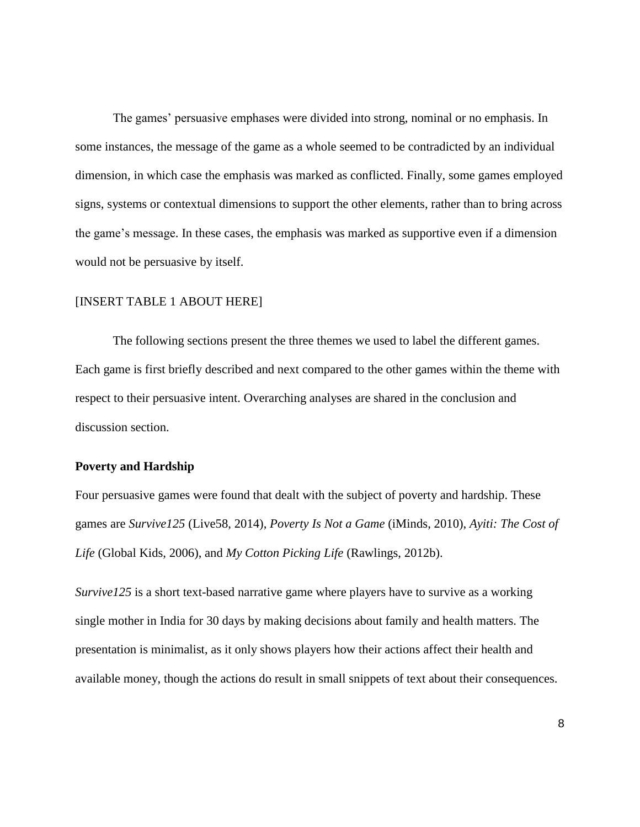The games' persuasive emphases were divided into strong, nominal or no emphasis. In some instances, the message of the game as a whole seemed to be contradicted by an individual dimension, in which case the emphasis was marked as conflicted. Finally, some games employed signs, systems or contextual dimensions to support the other elements, rather than to bring across the game's message. In these cases, the emphasis was marked as supportive even if a dimension would not be persuasive by itself.

## [INSERT TABLE 1 ABOUT HERE]

The following sections present the three themes we used to label the different games. Each game is first briefly described and next compared to the other games within the theme with respect to their persuasive intent. Overarching analyses are shared in the conclusion and discussion section.

# **Poverty and Hardship**

Four persuasive games were found that dealt with the subject of poverty and hardship. These games are *Survive125* (Live58, 2014), *Poverty Is Not a Game* (iMinds, 2010), *Ayiti: The Cost of Life* (Global Kids, 2006), and *My Cotton Picking Life* (Rawlings, 2012b).

*Survive125* is a short text-based narrative game where players have to survive as a working single mother in India for 30 days by making decisions about family and health matters. The presentation is minimalist, as it only shows players how their actions affect their health and available money, though the actions do result in small snippets of text about their consequences.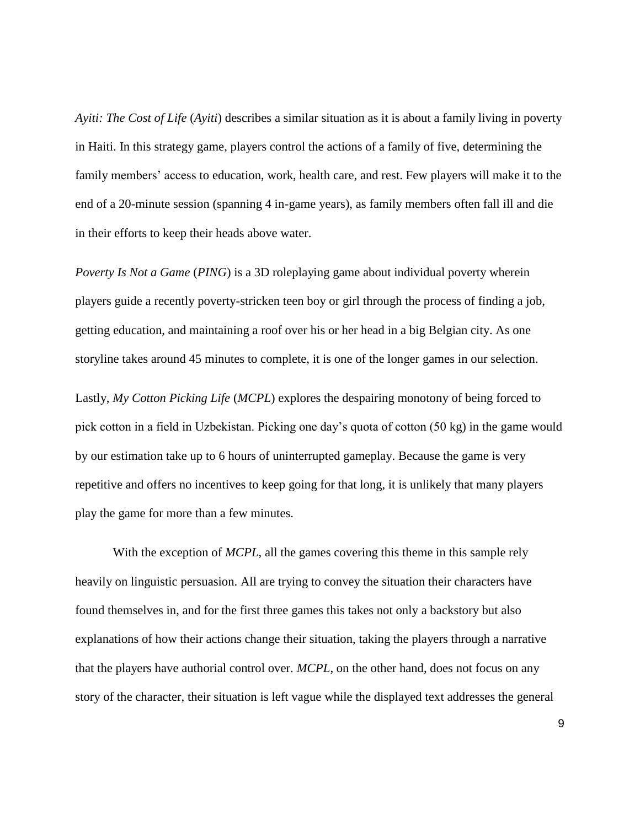*Ayiti: The Cost of Life* (*Ayiti*) describes a similar situation as it is about a family living in poverty in Haiti. In this strategy game, players control the actions of a family of five, determining the family members' access to education, work, health care, and rest. Few players will make it to the end of a 20-minute session (spanning 4 in-game years), as family members often fall ill and die in their efforts to keep their heads above water.

*Poverty Is Not a Game* (*PING*) is a 3D roleplaying game about individual poverty wherein players guide a recently poverty-stricken teen boy or girl through the process of finding a job, getting education, and maintaining a roof over his or her head in a big Belgian city. As one storyline takes around 45 minutes to complete, it is one of the longer games in our selection.

Lastly, *My Cotton Picking Life* (*MCPL*) explores the despairing monotony of being forced to pick cotton in a field in Uzbekistan. Picking one day's quota of cotton (50 kg) in the game would by our estimation take up to 6 hours of uninterrupted gameplay. Because the game is very repetitive and offers no incentives to keep going for that long, it is unlikely that many players play the game for more than a few minutes.

With the exception of *MCPL*, all the games covering this theme in this sample rely heavily on linguistic persuasion. All are trying to convey the situation their characters have found themselves in, and for the first three games this takes not only a backstory but also explanations of how their actions change their situation, taking the players through a narrative that the players have authorial control over. *MCPL*, on the other hand, does not focus on any story of the character, their situation is left vague while the displayed text addresses the general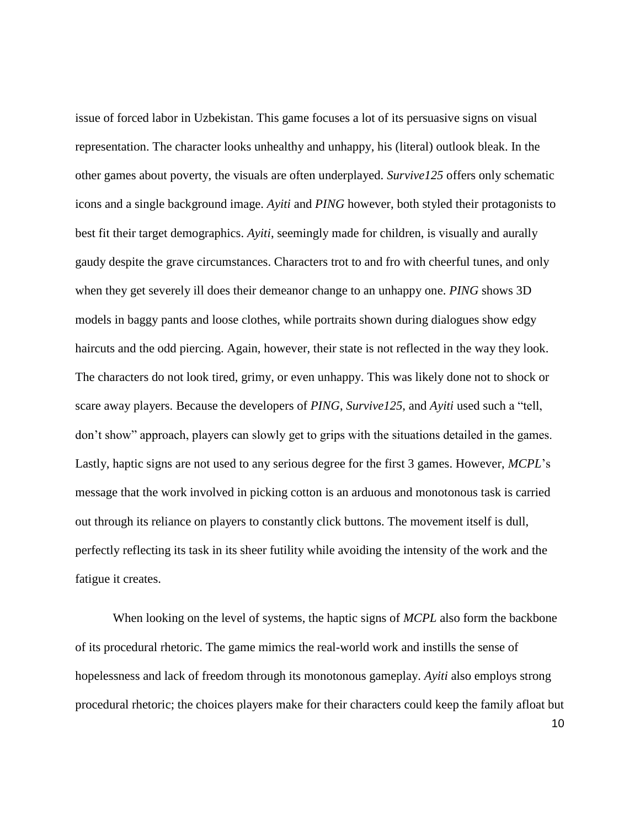issue of forced labor in Uzbekistan. This game focuses a lot of its persuasive signs on visual representation. The character looks unhealthy and unhappy, his (literal) outlook bleak. In the other games about poverty, the visuals are often underplayed. *Survive125* offers only schematic icons and a single background image. *Ayiti* and *PING* however, both styled their protagonists to best fit their target demographics. *Ayiti*, seemingly made for children, is visually and aurally gaudy despite the grave circumstances. Characters trot to and fro with cheerful tunes, and only when they get severely ill does their demeanor change to an unhappy one. *PING* shows 3D models in baggy pants and loose clothes, while portraits shown during dialogues show edgy haircuts and the odd piercing. Again, however, their state is not reflected in the way they look. The characters do not look tired, grimy, or even unhappy. This was likely done not to shock or scare away players. Because the developers of *PING*, *Survive125*, and *Ayiti* used such a "tell, don't show" approach, players can slowly get to grips with the situations detailed in the games. Lastly, haptic signs are not used to any serious degree for the first 3 games. However, *MCPL*'s message that the work involved in picking cotton is an arduous and monotonous task is carried out through its reliance on players to constantly click buttons. The movement itself is dull, perfectly reflecting its task in its sheer futility while avoiding the intensity of the work and the fatigue it creates.

When looking on the level of systems, the haptic signs of *MCPL* also form the backbone of its procedural rhetoric. The game mimics the real-world work and instills the sense of hopelessness and lack of freedom through its monotonous gameplay. *Ayiti* also employs strong procedural rhetoric; the choices players make for their characters could keep the family afloat but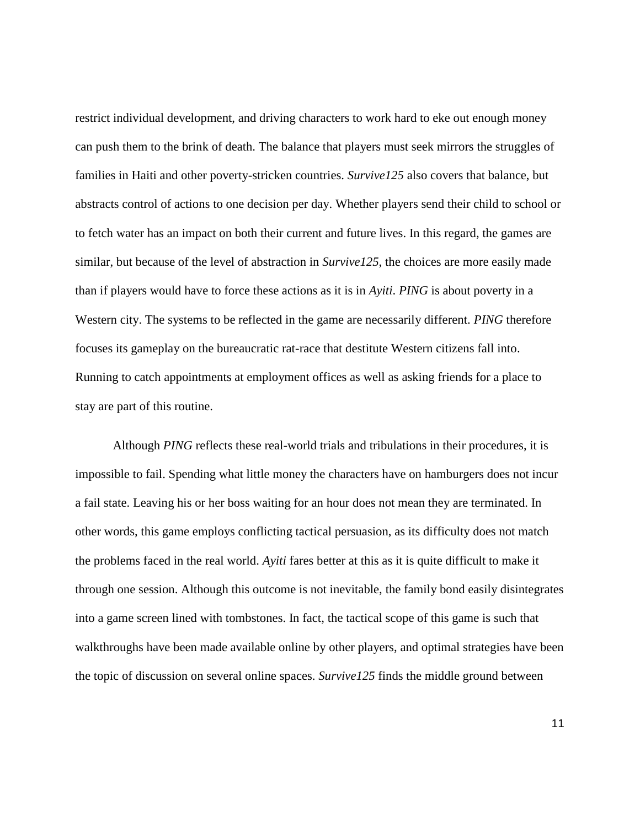restrict individual development, and driving characters to work hard to eke out enough money can push them to the brink of death. The balance that players must seek mirrors the struggles of families in Haiti and other poverty-stricken countries. *Survive125* also covers that balance, but abstracts control of actions to one decision per day. Whether players send their child to school or to fetch water has an impact on both their current and future lives. In this regard, the games are similar, but because of the level of abstraction in *Survive125*, the choices are more easily made than if players would have to force these actions as it is in *Ayiti*. *PING* is about poverty in a Western city. The systems to be reflected in the game are necessarily different. *PING* therefore focuses its gameplay on the bureaucratic rat-race that destitute Western citizens fall into. Running to catch appointments at employment offices as well as asking friends for a place to stay are part of this routine.

Although *PING* reflects these real-world trials and tribulations in their procedures, it is impossible to fail. Spending what little money the characters have on hamburgers does not incur a fail state. Leaving his or her boss waiting for an hour does not mean they are terminated. In other words, this game employs conflicting tactical persuasion, as its difficulty does not match the problems faced in the real world. *Ayiti* fares better at this as it is quite difficult to make it through one session. Although this outcome is not inevitable, the family bond easily disintegrates into a game screen lined with tombstones. In fact, the tactical scope of this game is such that walkthroughs have been made available online by other players, and optimal strategies have been the topic of discussion on several online spaces. *Survive125* finds the middle ground between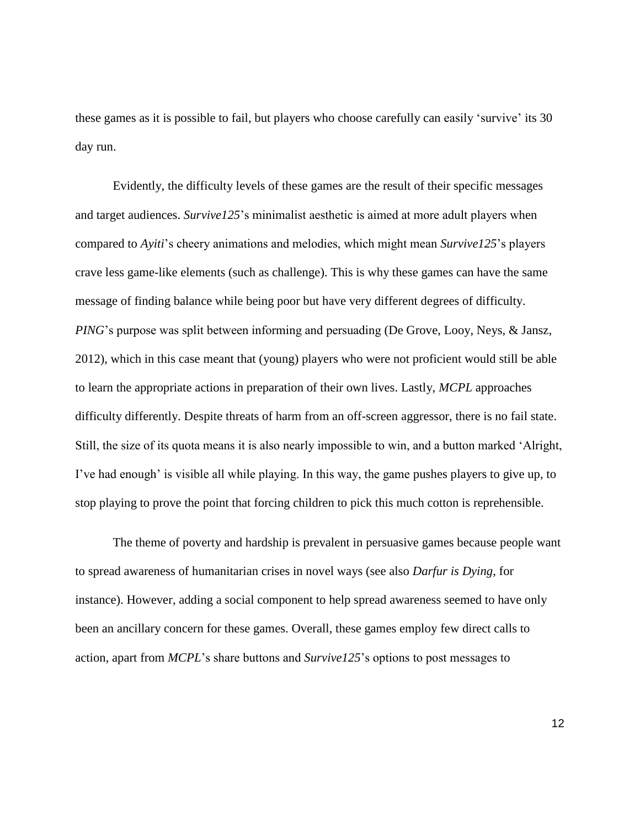these games as it is possible to fail, but players who choose carefully can easily 'survive' its 30 day run.

Evidently, the difficulty levels of these games are the result of their specific messages and target audiences. *Survive125*'s minimalist aesthetic is aimed at more adult players when compared to *Ayiti*'s cheery animations and melodies, which might mean *Survive125*'s players crave less game-like elements (such as challenge). This is why these games can have the same message of finding balance while being poor but have very different degrees of difficulty. *PING*'s purpose was split between informing and persuading (De Grove, Looy, Neys, & Jansz, 2012), which in this case meant that (young) players who were not proficient would still be able to learn the appropriate actions in preparation of their own lives. Lastly, *MCPL* approaches difficulty differently. Despite threats of harm from an off-screen aggressor, there is no fail state. Still, the size of its quota means it is also nearly impossible to win, and a button marked 'Alright, I've had enough' is visible all while playing. In this way, the game pushes players to give up, to stop playing to prove the point that forcing children to pick this much cotton is reprehensible.

The theme of poverty and hardship is prevalent in persuasive games because people want to spread awareness of humanitarian crises in novel ways (see also *Darfur is Dying*, for instance). However, adding a social component to help spread awareness seemed to have only been an ancillary concern for these games. Overall, these games employ few direct calls to action, apart from *MCPL*'s share buttons and *Survive125*'s options to post messages to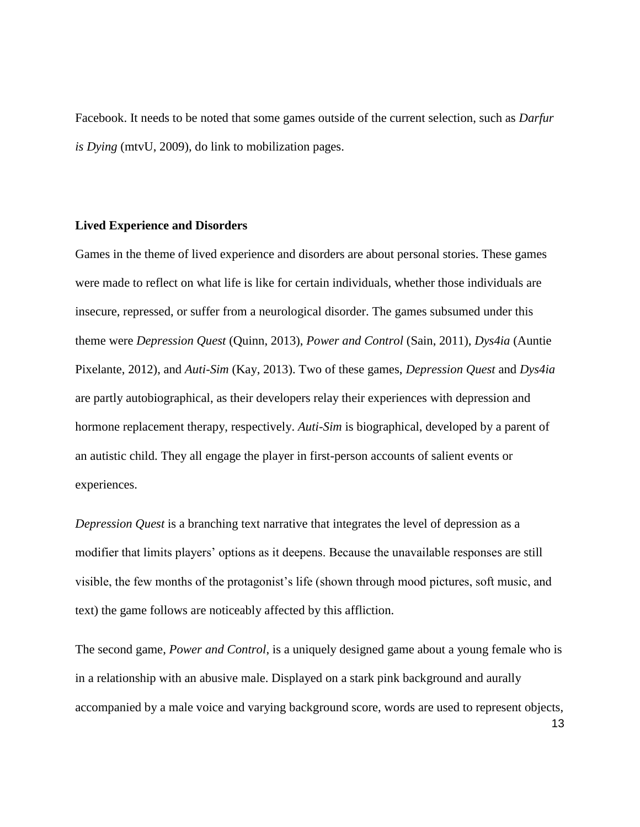Facebook. It needs to be noted that some games outside of the current selection, such as *Darfur is Dying* (mtvU, 2009)*,* do link to mobilization pages.

## **Lived Experience and Disorders**

Games in the theme of lived experience and disorders are about personal stories. These games were made to reflect on what life is like for certain individuals, whether those individuals are insecure, repressed, or suffer from a neurological disorder. The games subsumed under this theme were *Depression Quest* (Quinn, 2013), *Power and Control* (Sain, 2011), *Dys4ia* (Auntie Pixelante, 2012), and *Auti-Sim* (Kay, 2013). Two of these games, *Depression Quest* and *Dys4ia* are partly autobiographical, as their developers relay their experiences with depression and hormone replacement therapy, respectively. *Auti-Sim* is biographical, developed by a parent of an autistic child. They all engage the player in first-person accounts of salient events or experiences.

*Depression Quest* is a branching text narrative that integrates the level of depression as a modifier that limits players' options as it deepens. Because the unavailable responses are still visible, the few months of the protagonist's life (shown through mood pictures, soft music, and text) the game follows are noticeably affected by this affliction.

The second game, *Power and Control*, is a uniquely designed game about a young female who is in a relationship with an abusive male. Displayed on a stark pink background and aurally accompanied by a male voice and varying background score, words are used to represent objects,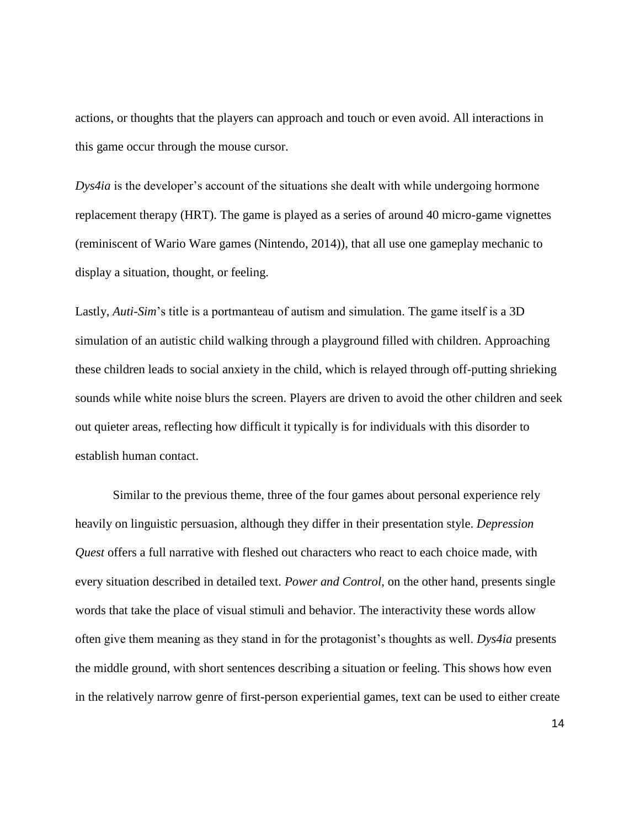actions, or thoughts that the players can approach and touch or even avoid. All interactions in this game occur through the mouse cursor.

*Dys4ia* is the developer's account of the situations she dealt with while undergoing hormone replacement therapy (HRT). The game is played as a series of around 40 micro-game vignettes (reminiscent of Wario Ware games (Nintendo, 2014)), that all use one gameplay mechanic to display a situation, thought, or feeling.

Lastly, *Auti-Sim*'s title is a portmanteau of autism and simulation. The game itself is a 3D simulation of an autistic child walking through a playground filled with children. Approaching these children leads to social anxiety in the child, which is relayed through off-putting shrieking sounds while white noise blurs the screen. Players are driven to avoid the other children and seek out quieter areas, reflecting how difficult it typically is for individuals with this disorder to establish human contact.

Similar to the previous theme, three of the four games about personal experience rely heavily on linguistic persuasion, although they differ in their presentation style. *Depression Quest* offers a full narrative with fleshed out characters who react to each choice made, with every situation described in detailed text. *Power and Control*, on the other hand, presents single words that take the place of visual stimuli and behavior. The interactivity these words allow often give them meaning as they stand in for the protagonist's thoughts as well. *Dys4ia* presents the middle ground, with short sentences describing a situation or feeling. This shows how even in the relatively narrow genre of first-person experiential games, text can be used to either create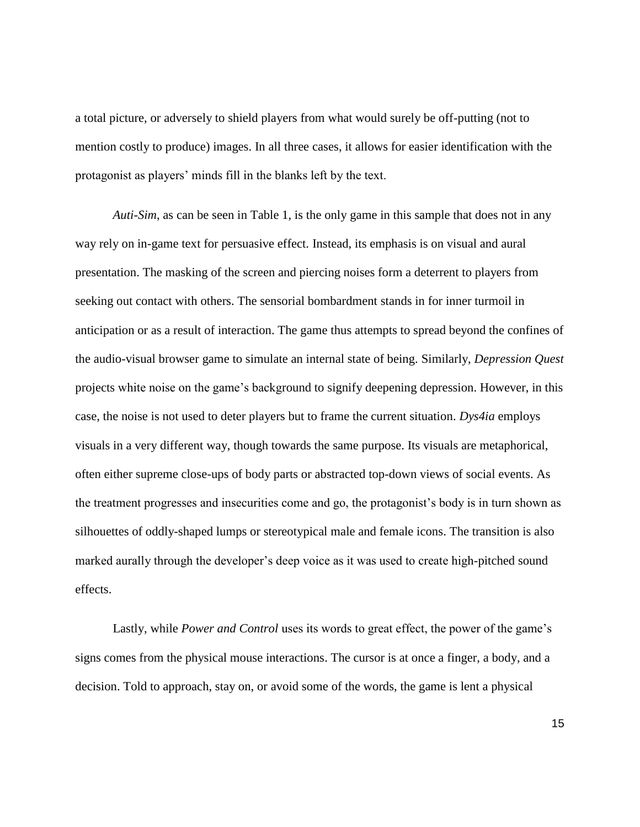a total picture, or adversely to shield players from what would surely be off-putting (not to mention costly to produce) images. In all three cases, it allows for easier identification with the protagonist as players' minds fill in the blanks left by the text.

*Auti-Sim*, as can be seen in Table 1, is the only game in this sample that does not in any way rely on in-game text for persuasive effect. Instead, its emphasis is on visual and aural presentation. The masking of the screen and piercing noises form a deterrent to players from seeking out contact with others. The sensorial bombardment stands in for inner turmoil in anticipation or as a result of interaction. The game thus attempts to spread beyond the confines of the audio-visual browser game to simulate an internal state of being. Similarly, *Depression Quest* projects white noise on the game's background to signify deepening depression. However, in this case, the noise is not used to deter players but to frame the current situation. *Dys4ia* employs visuals in a very different way, though towards the same purpose. Its visuals are metaphorical, often either supreme close-ups of body parts or abstracted top-down views of social events. As the treatment progresses and insecurities come and go, the protagonist's body is in turn shown as silhouettes of oddly-shaped lumps or stereotypical male and female icons. The transition is also marked aurally through the developer's deep voice as it was used to create high-pitched sound effects.

Lastly, while *Power and Control* uses its words to great effect, the power of the game's signs comes from the physical mouse interactions. The cursor is at once a finger, a body, and a decision. Told to approach, stay on, or avoid some of the words, the game is lent a physical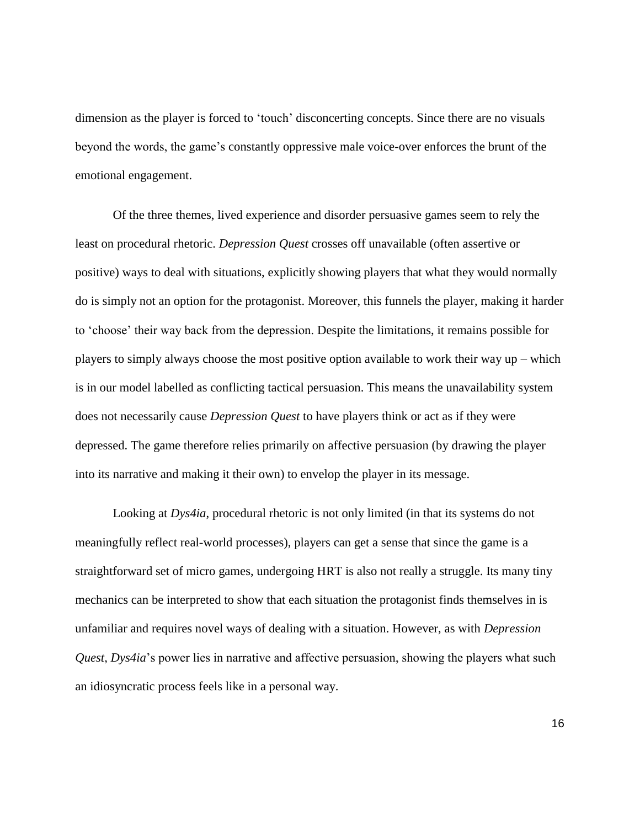dimension as the player is forced to 'touch' disconcerting concepts. Since there are no visuals beyond the words, the game's constantly oppressive male voice-over enforces the brunt of the emotional engagement.

Of the three themes, lived experience and disorder persuasive games seem to rely the least on procedural rhetoric. *Depression Quest* crosses off unavailable (often assertive or positive) ways to deal with situations, explicitly showing players that what they would normally do is simply not an option for the protagonist. Moreover, this funnels the player, making it harder to 'choose' their way back from the depression. Despite the limitations, it remains possible for players to simply always choose the most positive option available to work their way up – which is in our model labelled as conflicting tactical persuasion. This means the unavailability system does not necessarily cause *Depression Quest* to have players think or act as if they were depressed. The game therefore relies primarily on affective persuasion (by drawing the player into its narrative and making it their own) to envelop the player in its message.

Looking at *Dys4ia*, procedural rhetoric is not only limited (in that its systems do not meaningfully reflect real-world processes), players can get a sense that since the game is a straightforward set of micro games, undergoing HRT is also not really a struggle. Its many tiny mechanics can be interpreted to show that each situation the protagonist finds themselves in is unfamiliar and requires novel ways of dealing with a situation. However, as with *Depression Quest*, *Dys4ia*'s power lies in narrative and affective persuasion, showing the players what such an idiosyncratic process feels like in a personal way.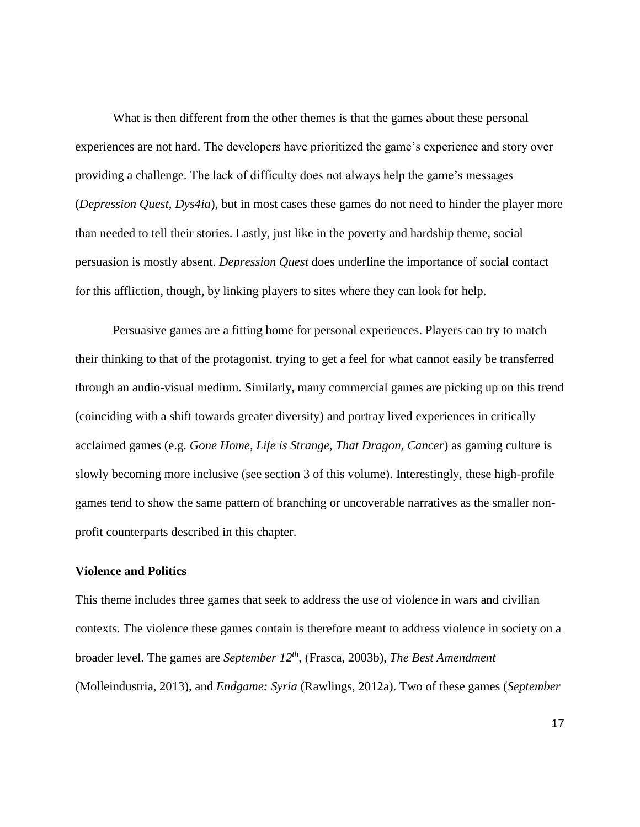What is then different from the other themes is that the games about these personal experiences are not hard. The developers have prioritized the game's experience and story over providing a challenge. The lack of difficulty does not always help the game's messages (*Depression Quest*, *Dys4ia*), but in most cases these games do not need to hinder the player more than needed to tell their stories. Lastly, just like in the poverty and hardship theme, social persuasion is mostly absent. *Depression Quest* does underline the importance of social contact for this affliction, though, by linking players to sites where they can look for help.

Persuasive games are a fitting home for personal experiences. Players can try to match their thinking to that of the protagonist, trying to get a feel for what cannot easily be transferred through an audio-visual medium. Similarly, many commercial games are picking up on this trend (coinciding with a shift towards greater diversity) and portray lived experiences in critically acclaimed games (e.g. *Gone Home*, *Life is Strange*, *That Dragon, Cancer*) as gaming culture is slowly becoming more inclusive (see section 3 of this volume). Interestingly, these high-profile games tend to show the same pattern of branching or uncoverable narratives as the smaller nonprofit counterparts described in this chapter.

## **Violence and Politics**

This theme includes three games that seek to address the use of violence in wars and civilian contexts. The violence these games contain is therefore meant to address violence in society on a broader level. The games are *September 12th* , (Frasca, 2003b), *The Best Amendment* (Molleindustria, 2013), and *Endgame: Syria* (Rawlings, 2012a). Two of these games (*September*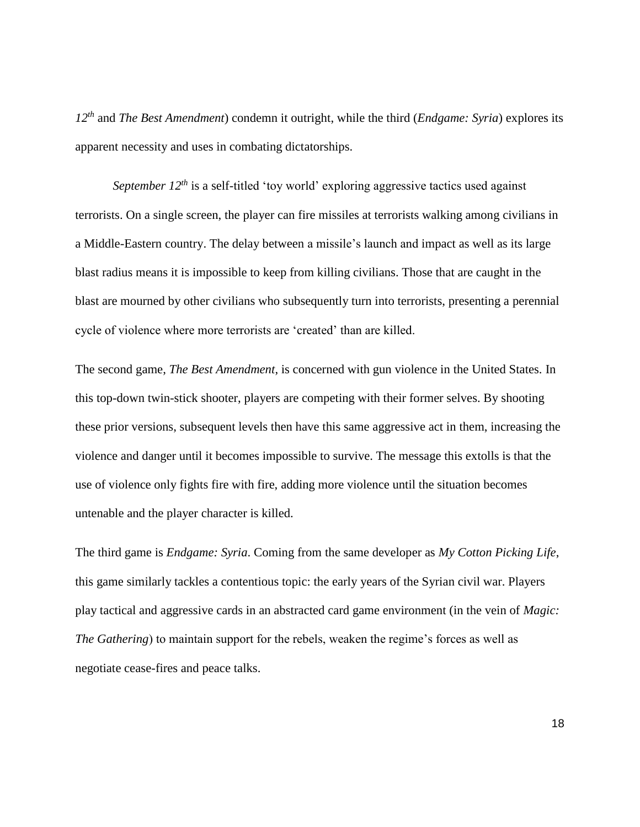*12th* and *The Best Amendment*) condemn it outright, while the third (*Endgame: Syria*) explores its apparent necessity and uses in combating dictatorships.

*September 12<sup>th</sup>* is a self-titled 'toy world' exploring aggressive tactics used against terrorists. On a single screen, the player can fire missiles at terrorists walking among civilians in a Middle-Eastern country. The delay between a missile's launch and impact as well as its large blast radius means it is impossible to keep from killing civilians. Those that are caught in the blast are mourned by other civilians who subsequently turn into terrorists, presenting a perennial cycle of violence where more terrorists are 'created' than are killed.

The second game, *The Best Amendment*, is concerned with gun violence in the United States. In this top-down twin-stick shooter, players are competing with their former selves. By shooting these prior versions, subsequent levels then have this same aggressive act in them, increasing the violence and danger until it becomes impossible to survive. The message this extolls is that the use of violence only fights fire with fire, adding more violence until the situation becomes untenable and the player character is killed.

The third game is *Endgame: Syria*. Coming from the same developer as *My Cotton Picking Life*, this game similarly tackles a contentious topic: the early years of the Syrian civil war. Players play tactical and aggressive cards in an abstracted card game environment (in the vein of *Magic: The Gathering*) to maintain support for the rebels, weaken the regime's forces as well as negotiate cease-fires and peace talks.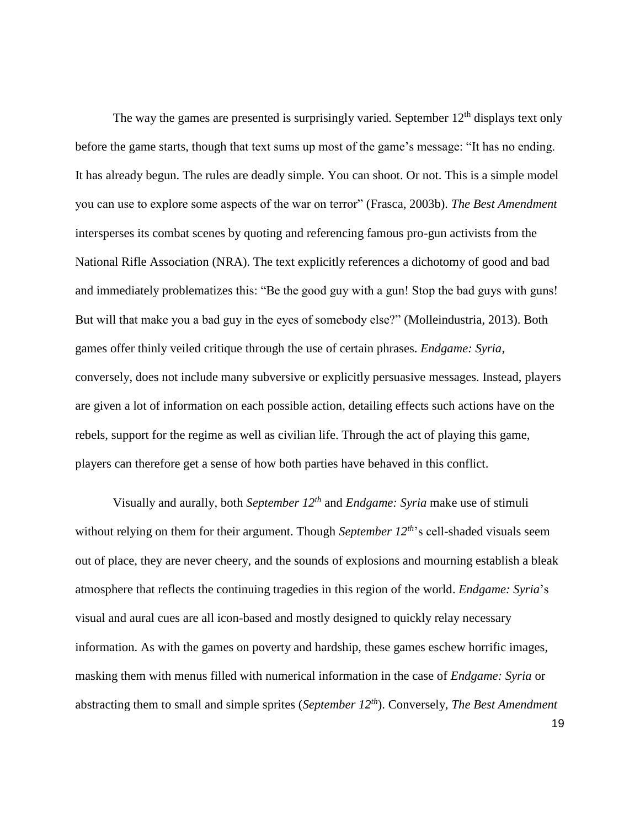The way the games are presented is surprisingly varied. September  $12<sup>th</sup>$  displays text only before the game starts, though that text sums up most of the game's message: "It has no ending. It has already begun. The rules are deadly simple. You can shoot. Or not. This is a simple model you can use to explore some aspects of the war on terror" (Frasca, 2003b). *The Best Amendment* intersperses its combat scenes by quoting and referencing famous pro-gun activists from the National Rifle Association (NRA). The text explicitly references a dichotomy of good and bad and immediately problematizes this: "Be the good guy with a gun! Stop the bad guys with guns! But will that make you a bad guy in the eyes of somebody else?" (Molleindustria, 2013). Both games offer thinly veiled critique through the use of certain phrases. *Endgame: Syria*, conversely, does not include many subversive or explicitly persuasive messages. Instead, players are given a lot of information on each possible action, detailing effects such actions have on the rebels, support for the regime as well as civilian life. Through the act of playing this game, players can therefore get a sense of how both parties have behaved in this conflict.

Visually and aurally, both *September 12th* and *Endgame: Syria* make use of stimuli without relying on them for their argument. Though *September 12th*'s cell-shaded visuals seem out of place, they are never cheery, and the sounds of explosions and mourning establish a bleak atmosphere that reflects the continuing tragedies in this region of the world. *Endgame: Syria*'s visual and aural cues are all icon-based and mostly designed to quickly relay necessary information. As with the games on poverty and hardship, these games eschew horrific images, masking them with menus filled with numerical information in the case of *Endgame: Syria* or abstracting them to small and simple sprites (*September 12th*). Conversely, *The Best Amendment*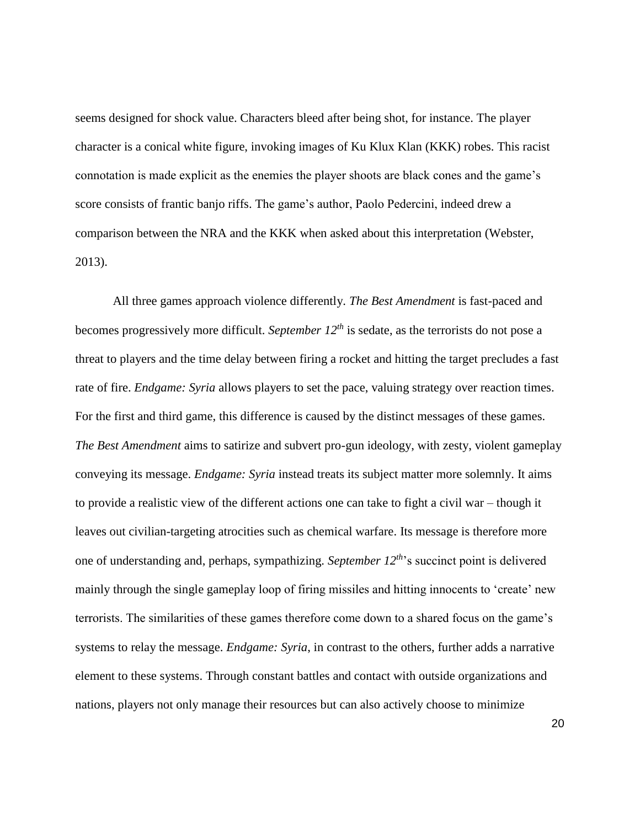seems designed for shock value. Characters bleed after being shot, for instance. The player character is a conical white figure, invoking images of Ku Klux Klan (KKK) robes. This racist connotation is made explicit as the enemies the player shoots are black cones and the game's score consists of frantic banjo riffs. The game's author, Paolo Pedercini, indeed drew a comparison between the NRA and the KKK when asked about this interpretation (Webster, 2013).

All three games approach violence differently. *The Best Amendment* is fast-paced and becomes progressively more difficult. *September 12th* is sedate, as the terrorists do not pose a threat to players and the time delay between firing a rocket and hitting the target precludes a fast rate of fire. *Endgame: Syria* allows players to set the pace, valuing strategy over reaction times. For the first and third game, this difference is caused by the distinct messages of these games. *The Best Amendment* aims to satirize and subvert pro-gun ideology, with zesty, violent gameplay conveying its message. *Endgame: Syria* instead treats its subject matter more solemnly. It aims to provide a realistic view of the different actions one can take to fight a civil war – though it leaves out civilian-targeting atrocities such as chemical warfare. Its message is therefore more one of understanding and, perhaps, sympathizing. *September 12th*'s succinct point is delivered mainly through the single gameplay loop of firing missiles and hitting innocents to 'create' new terrorists. The similarities of these games therefore come down to a shared focus on the game's systems to relay the message. *Endgame: Syria*, in contrast to the others, further adds a narrative element to these systems. Through constant battles and contact with outside organizations and nations, players not only manage their resources but can also actively choose to minimize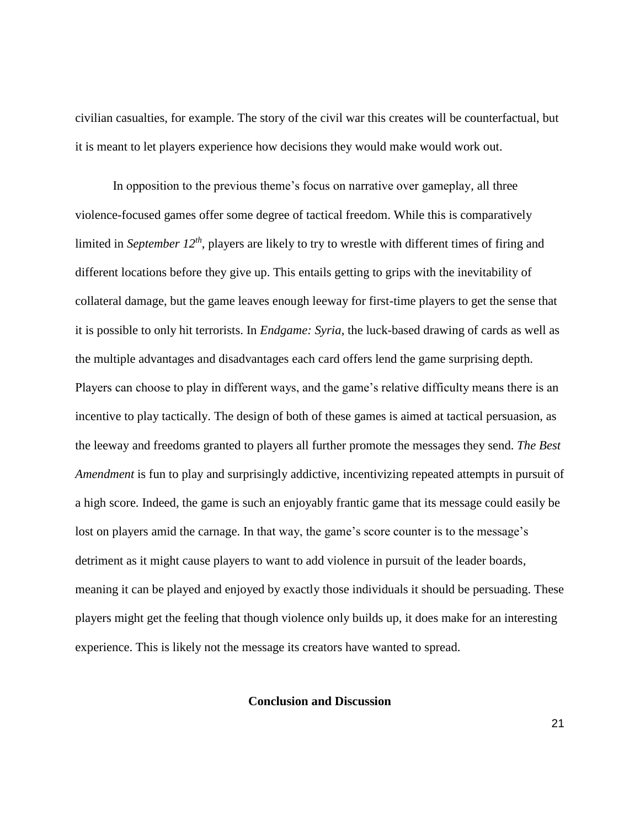civilian casualties, for example. The story of the civil war this creates will be counterfactual, but it is meant to let players experience how decisions they would make would work out.

In opposition to the previous theme's focus on narrative over gameplay, all three violence-focused games offer some degree of tactical freedom. While this is comparatively limited in *September 12th*, players are likely to try to wrestle with different times of firing and different locations before they give up. This entails getting to grips with the inevitability of collateral damage, but the game leaves enough leeway for first-time players to get the sense that it is possible to only hit terrorists. In *Endgame: Syria*, the luck-based drawing of cards as well as the multiple advantages and disadvantages each card offers lend the game surprising depth. Players can choose to play in different ways, and the game's relative difficulty means there is an incentive to play tactically. The design of both of these games is aimed at tactical persuasion, as the leeway and freedoms granted to players all further promote the messages they send. *The Best Amendment* is fun to play and surprisingly addictive, incentivizing repeated attempts in pursuit of a high score. Indeed, the game is such an enjoyably frantic game that its message could easily be lost on players amid the carnage. In that way, the game's score counter is to the message's detriment as it might cause players to want to add violence in pursuit of the leader boards, meaning it can be played and enjoyed by exactly those individuals it should be persuading. These players might get the feeling that though violence only builds up, it does make for an interesting experience. This is likely not the message its creators have wanted to spread.

# **Conclusion and Discussion**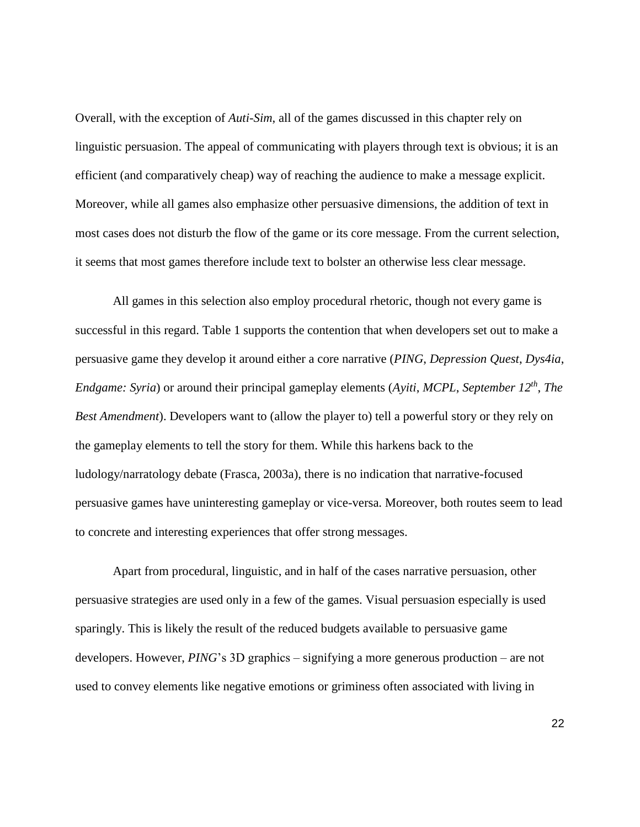Overall, with the exception of *Auti-Sim*, all of the games discussed in this chapter rely on linguistic persuasion. The appeal of communicating with players through text is obvious; it is an efficient (and comparatively cheap) way of reaching the audience to make a message explicit. Moreover, while all games also emphasize other persuasive dimensions, the addition of text in most cases does not disturb the flow of the game or its core message. From the current selection, it seems that most games therefore include text to bolster an otherwise less clear message.

All games in this selection also employ procedural rhetoric, though not every game is successful in this regard. Table 1 supports the contention that when developers set out to make a persuasive game they develop it around either a core narrative (*PING*, *Depression Quest*, *Dys4ia*, *Endgame: Syria*) or around their principal gameplay elements (*Ayiti*, *MCPL*, *September 12th* , *The Best Amendment*). Developers want to (allow the player to) tell a powerful story or they rely on the gameplay elements to tell the story for them. While this harkens back to the ludology/narratology debate (Frasca, 2003a), there is no indication that narrative-focused persuasive games have uninteresting gameplay or vice-versa. Moreover, both routes seem to lead to concrete and interesting experiences that offer strong messages.

Apart from procedural, linguistic, and in half of the cases narrative persuasion, other persuasive strategies are used only in a few of the games. Visual persuasion especially is used sparingly. This is likely the result of the reduced budgets available to persuasive game developers. However, *PING*'s 3D graphics – signifying a more generous production – are not used to convey elements like negative emotions or griminess often associated with living in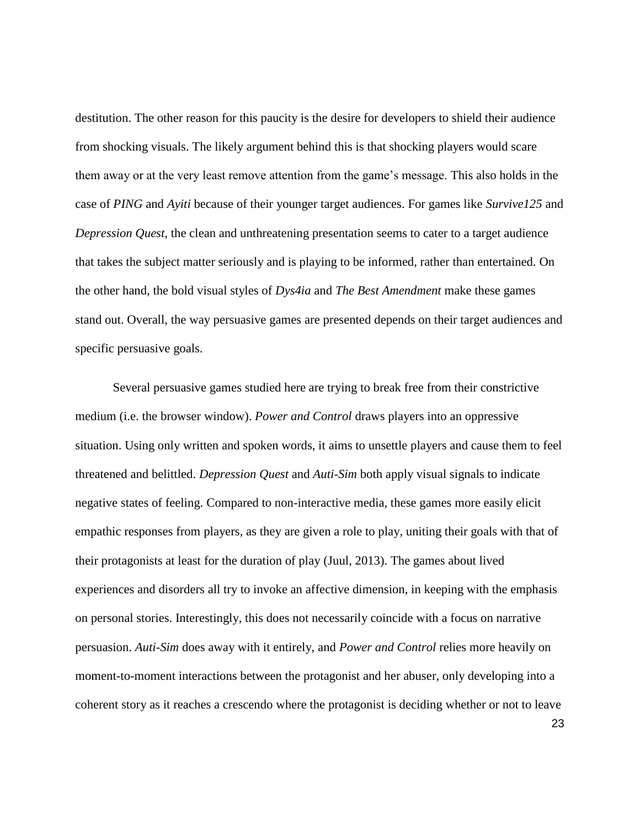destitution. The other reason for this paucity is the desire for developers to shield their audience from shocking visuals. The likely argument behind this is that shocking players would scare them away or at the very least remove attention from the game's message. This also holds in the case of *PING* and *Ayiti* because of their younger target audiences. For games like *Survive125* and *Depression Quest*, the clean and unthreatening presentation seems to cater to a target audience that takes the subject matter seriously and is playing to be informed, rather than entertained. On the other hand, the bold visual styles of *Dys4ia* and *The Best Amendment* make these games stand out. Overall, the way persuasive games are presented depends on their target audiences and specific persuasive goals.

Several persuasive games studied here are trying to break free from their constrictive medium (i.e. the browser window). *Power and Control* draws players into an oppressive situation. Using only written and spoken words, it aims to unsettle players and cause them to feel threatened and belittled. *Depression Quest* and *Auti-Sim* both apply visual signals to indicate negative states of feeling. Compared to non-interactive media, these games more easily elicit empathic responses from players, as they are given a role to play, uniting their goals with that of their protagonists at least for the duration of play (Juul, 2013). The games about lived experiences and disorders all try to invoke an affective dimension, in keeping with the emphasis on personal stories. Interestingly, this does not necessarily coincide with a focus on narrative persuasion. *Auti*-*Sim* does away with it entirely, and *Power and Control* relies more heavily on moment-to-moment interactions between the protagonist and her abuser, only developing into a coherent story as it reaches a crescendo where the protagonist is deciding whether or not to leave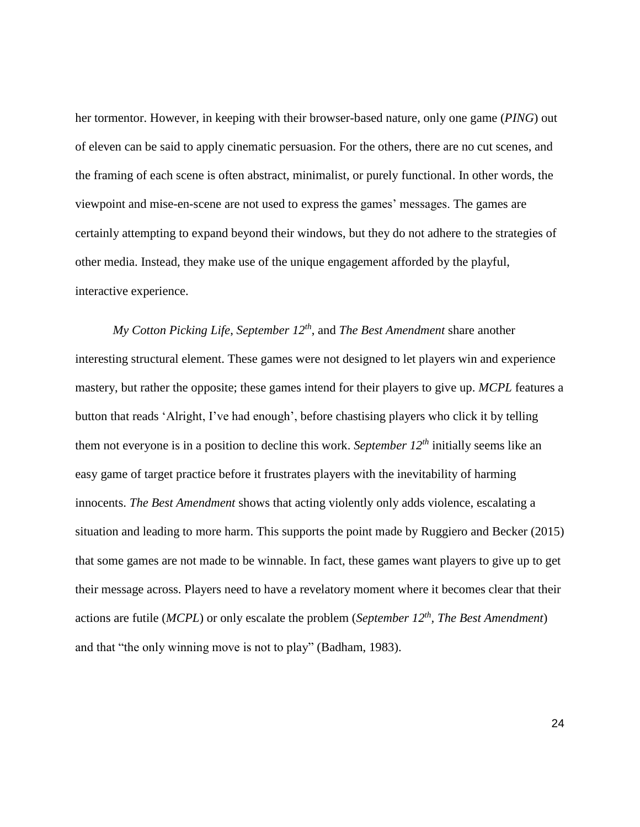her tormentor. However, in keeping with their browser-based nature, only one game (*PING*) out of eleven can be said to apply cinematic persuasion. For the others, there are no cut scenes, and the framing of each scene is often abstract, minimalist, or purely functional. In other words, the viewpoint and mise-en-scene are not used to express the games' messages. The games are certainly attempting to expand beyond their windows, but they do not adhere to the strategies of other media. Instead, they make use of the unique engagement afforded by the playful, interactive experience.

*My Cotton Picking Life*, *September 12th*, and *The Best Amendment* share another interesting structural element. These games were not designed to let players win and experience mastery, but rather the opposite; these games intend for their players to give up. *MCPL* features a button that reads 'Alright, I've had enough', before chastising players who click it by telling them not everyone is in a position to decline this work. *September 12th* initially seems like an easy game of target practice before it frustrates players with the inevitability of harming innocents. *The Best Amendment* shows that acting violently only adds violence, escalating a situation and leading to more harm. This supports the point made by Ruggiero and Becker (2015) that some games are not made to be winnable. In fact, these games want players to give up to get their message across. Players need to have a revelatory moment where it becomes clear that their actions are futile (*MCPL*) or only escalate the problem (*September 12th, The Best Amendment*) and that "the only winning move is not to play" (Badham, 1983).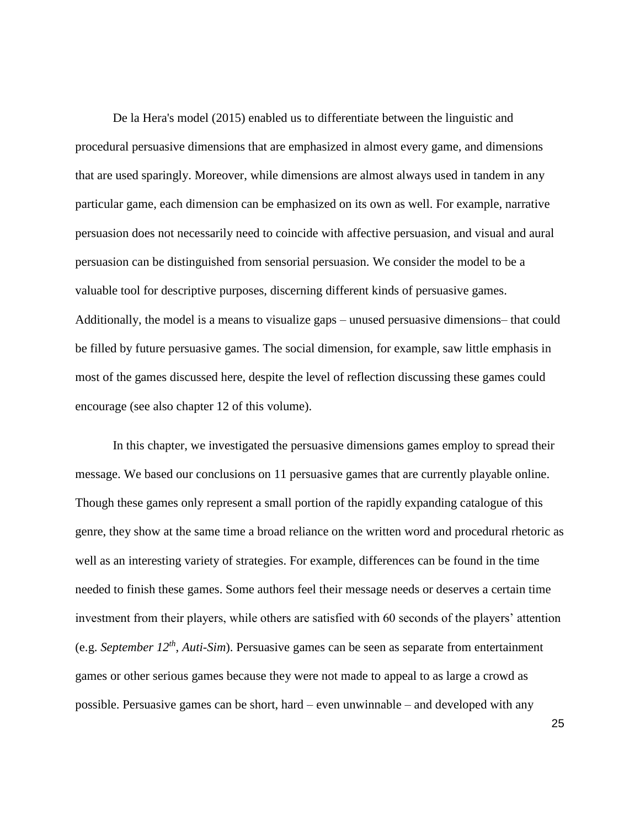De la Hera's model (2015) enabled us to differentiate between the linguistic and procedural persuasive dimensions that are emphasized in almost every game, and dimensions that are used sparingly. Moreover, while dimensions are almost always used in tandem in any particular game, each dimension can be emphasized on its own as well. For example, narrative persuasion does not necessarily need to coincide with affective persuasion, and visual and aural persuasion can be distinguished from sensorial persuasion. We consider the model to be a valuable tool for descriptive purposes, discerning different kinds of persuasive games. Additionally, the model is a means to visualize gaps – unused persuasive dimensions– that could be filled by future persuasive games. The social dimension, for example, saw little emphasis in most of the games discussed here, despite the level of reflection discussing these games could encourage (see also chapter 12 of this volume).

In this chapter, we investigated the persuasive dimensions games employ to spread their message. We based our conclusions on 11 persuasive games that are currently playable online. Though these games only represent a small portion of the rapidly expanding catalogue of this genre, they show at the same time a broad reliance on the written word and procedural rhetoric as well as an interesting variety of strategies. For example, differences can be found in the time needed to finish these games. Some authors feel their message needs or deserves a certain time investment from their players, while others are satisfied with 60 seconds of the players' attention (e.g. *September 12th* , *Auti-Sim*). Persuasive games can be seen as separate from entertainment games or other serious games because they were not made to appeal to as large a crowd as possible. Persuasive games can be short, hard – even unwinnable – and developed with any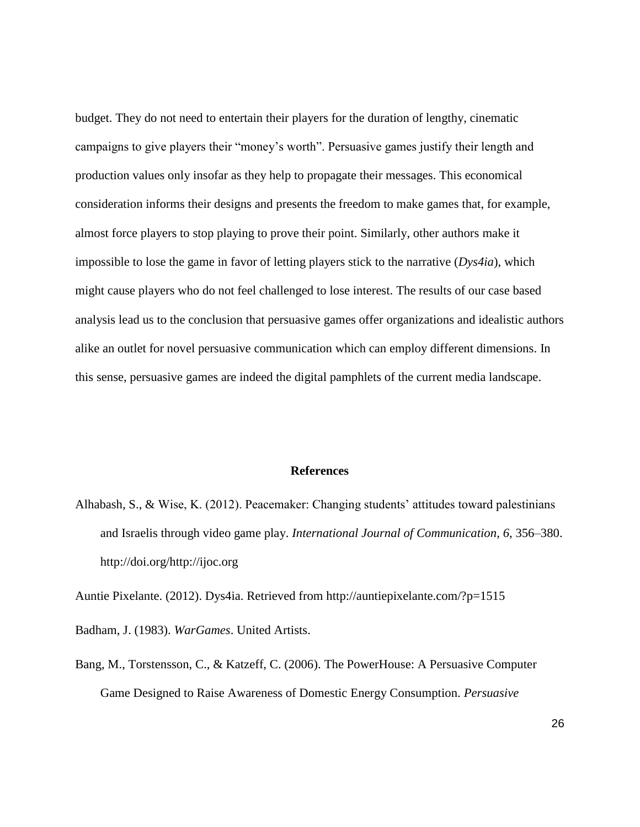budget. They do not need to entertain their players for the duration of lengthy, cinematic campaigns to give players their "money's worth". Persuasive games justify their length and production values only insofar as they help to propagate their messages. This economical consideration informs their designs and presents the freedom to make games that, for example, almost force players to stop playing to prove their point. Similarly, other authors make it impossible to lose the game in favor of letting players stick to the narrative (*Dys4ia*), which might cause players who do not feel challenged to lose interest. The results of our case based analysis lead us to the conclusion that persuasive games offer organizations and idealistic authors alike an outlet for novel persuasive communication which can employ different dimensions. In this sense, persuasive games are indeed the digital pamphlets of the current media landscape.

# **References**

Alhabash, S., & Wise, K. (2012). Peacemaker: Changing students' attitudes toward palestinians and Israelis through video game play. *International Journal of Communication*, *6*, 356–380. http://doi.org/http://ijoc.org

Auntie Pixelante. (2012). Dys4ia. Retrieved from http://auntiepixelante.com/?p=1515

Badham, J. (1983). *WarGames*. United Artists.

Bang, M., Torstensson, C., & Katzeff, C. (2006). The PowerHouse: A Persuasive Computer Game Designed to Raise Awareness of Domestic Energy Consumption. *Persuasive*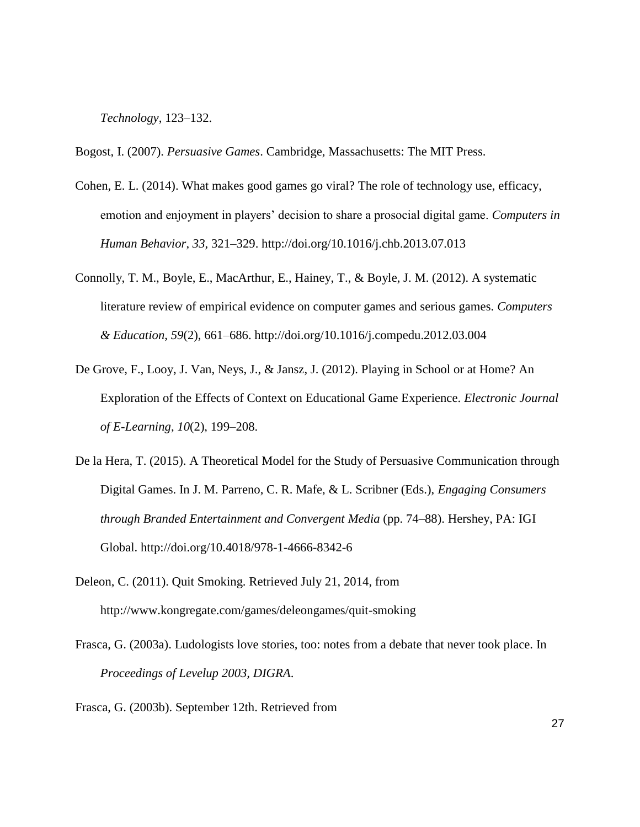*Technology*, 123–132.

Bogost, I. (2007). *Persuasive Games*. Cambridge, Massachusetts: The MIT Press.

- Cohen, E. L. (2014). What makes good games go viral? The role of technology use, efficacy, emotion and enjoyment in players' decision to share a prosocial digital game. *Computers in Human Behavior*, *33*, 321–329. http://doi.org/10.1016/j.chb.2013.07.013
- Connolly, T. M., Boyle, E., MacArthur, E., Hainey, T., & Boyle, J. M. (2012). A systematic literature review of empirical evidence on computer games and serious games. *Computers & Education*, *59*(2), 661–686. http://doi.org/10.1016/j.compedu.2012.03.004
- De Grove, F., Looy, J. Van, Neys, J., & Jansz, J. (2012). Playing in School or at Home? An Exploration of the Effects of Context on Educational Game Experience. *Electronic Journal of E-Learning*, *10*(2), 199–208.
- De la Hera, T. (2015). A Theoretical Model for the Study of Persuasive Communication through Digital Games. In J. M. Parreno, C. R. Mafe, & L. Scribner (Eds.), *Engaging Consumers through Branded Entertainment and Convergent Media* (pp. 74–88). Hershey, PA: IGI Global. http://doi.org/10.4018/978-1-4666-8342-6
- Deleon, C. (2011). Quit Smoking. Retrieved July 21, 2014, from http://www.kongregate.com/games/deleongames/quit-smoking
- Frasca, G. (2003a). Ludologists love stories, too: notes from a debate that never took place. In *Proceedings of Levelup 2003, DIGRA*.
- Frasca, G. (2003b). September 12th. Retrieved from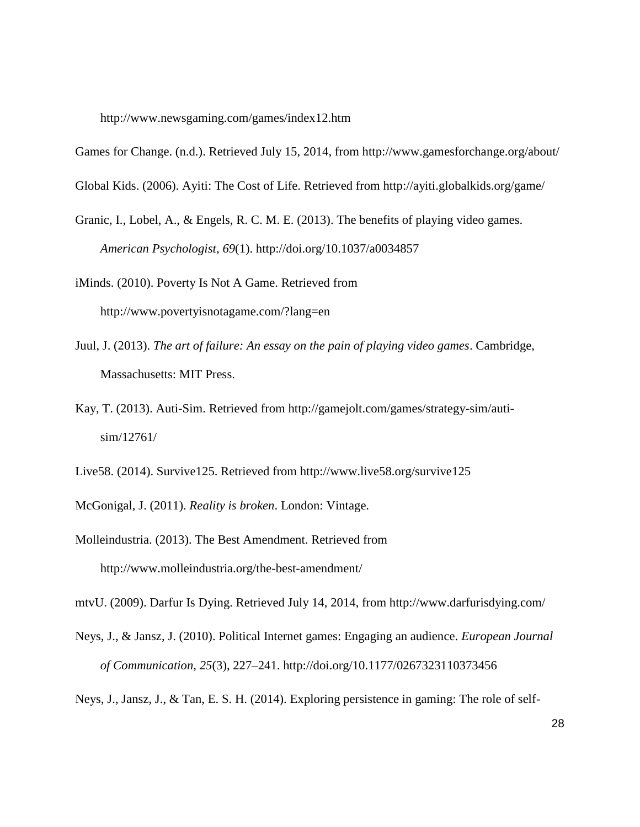http://www.newsgaming.com/games/index12.htm

Games for Change. (n.d.). Retrieved July 15, 2014, from http://www.gamesforchange.org/about/

Global Kids. (2006). Ayiti: The Cost of Life. Retrieved from http://ayiti.globalkids.org/game/

Granic, I., Lobel, A., & Engels, R. C. M. E. (2013). The benefits of playing video games. *American Psychologist*, *69*(1). http://doi.org/10.1037/a0034857

iMinds. (2010). Poverty Is Not A Game. Retrieved from http://www.povertyisnotagame.com/?lang=en

- Juul, J. (2013). *The art of failure: An essay on the pain of playing video games*. Cambridge, Massachusetts: MIT Press.
- Kay, T. (2013). Auti-Sim. Retrieved from http://gamejolt.com/games/strategy-sim/autisim/12761/

Live58. (2014). Survive125. Retrieved from http://www.live58.org/survive125

McGonigal, J. (2011). *Reality is broken*. London: Vintage.

Molleindustria. (2013). The Best Amendment. Retrieved from http://www.molleindustria.org/the-best-amendment/

mtvU. (2009). Darfur Is Dying. Retrieved July 14, 2014, from http://www.darfurisdying.com/

Neys, J., & Jansz, J. (2010). Political Internet games: Engaging an audience. *European Journal of Communication*, *25*(3), 227–241. http://doi.org/10.1177/0267323110373456

Neys, J., Jansz, J., & Tan, E. S. H. (2014). Exploring persistence in gaming: The role of self-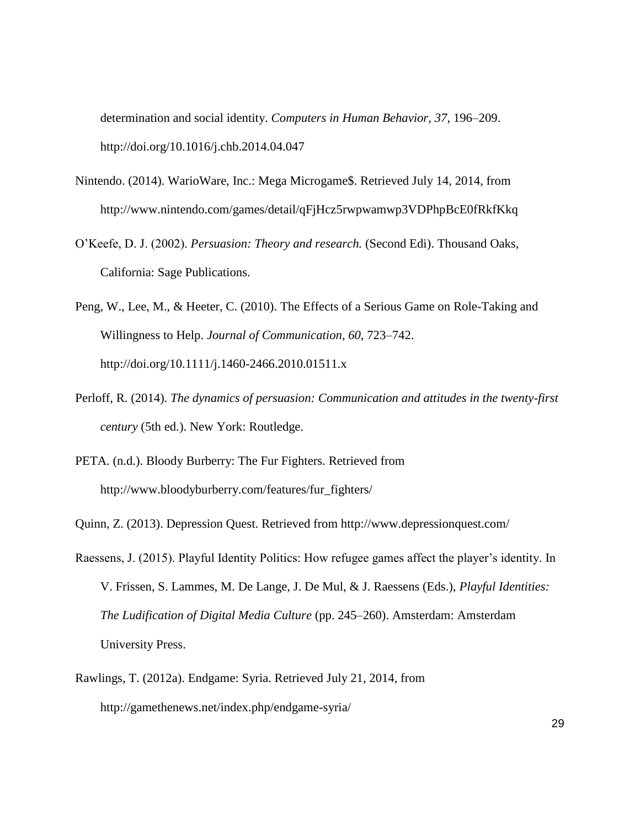determination and social identity. *Computers in Human Behavior*, *37*, 196–209. http://doi.org/10.1016/j.chb.2014.04.047

- Nintendo. (2014). WarioWare, Inc.: Mega Microgame\$. Retrieved July 14, 2014, from http://www.nintendo.com/games/detail/qFjHcz5rwpwamwp3VDPhpBcE0fRkfKkq
- O'Keefe, D. J. (2002). *Persuasion: Theory and research.* (Second Edi). Thousand Oaks, California: Sage Publications.
- Peng, W., Lee, M., & Heeter, C. (2010). The Effects of a Serious Game on Role-Taking and Willingness to Help. *Journal of Communication*, *60*, 723–742. http://doi.org/10.1111/j.1460-2466.2010.01511.x
- Perloff, R. (2014). *The dynamics of persuasion: Communication and attitudes in the twenty-first century* (5th ed.). New York: Routledge.
- PETA. (n.d.). Bloody Burberry: The Fur Fighters. Retrieved from http://www.bloodyburberry.com/features/fur\_fighters/
- Quinn, Z. (2013). Depression Quest. Retrieved from http://www.depressionquest.com/
- Raessens, J. (2015). Playful Identity Politics: How refugee games affect the player's identity. In V. Frissen, S. Lammes, M. De Lange, J. De Mul, & J. Raessens (Eds.), *Playful Identities: The Ludification of Digital Media Culture* (pp. 245–260). Amsterdam: Amsterdam University Press.
- Rawlings, T. (2012a). Endgame: Syria. Retrieved July 21, 2014, from http://gamethenews.net/index.php/endgame-syria/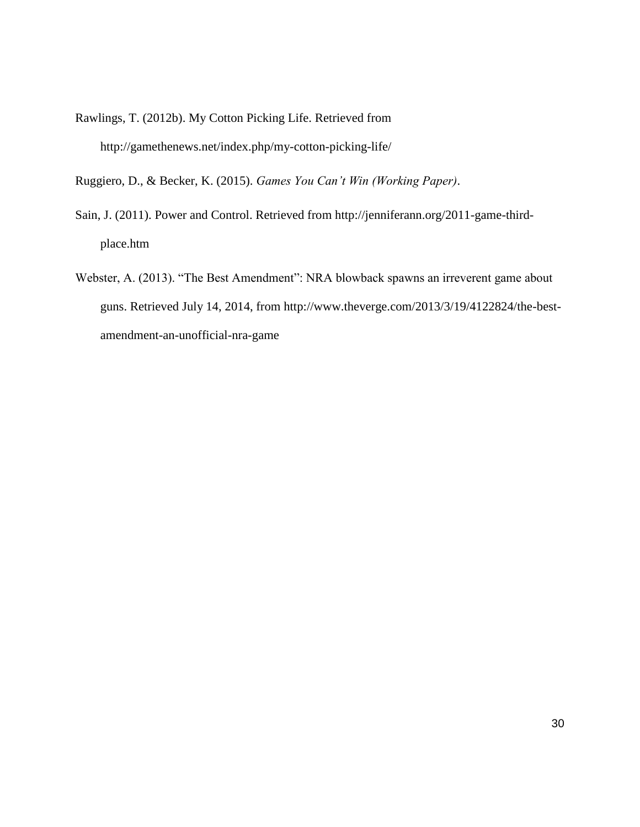Rawlings, T. (2012b). My Cotton Picking Life. Retrieved from http://gamethenews.net/index.php/my-cotton-picking-life/

Ruggiero, D., & Becker, K. (2015). *Games You Can't Win (Working Paper)*.

- Sain, J. (2011). Power and Control. Retrieved from http://jenniferann.org/2011-game-thirdplace.htm
- Webster, A. (2013). "The Best Amendment": NRA blowback spawns an irreverent game about guns. Retrieved July 14, 2014, from http://www.theverge.com/2013/3/19/4122824/the-bestamendment-an-unofficial-nra-game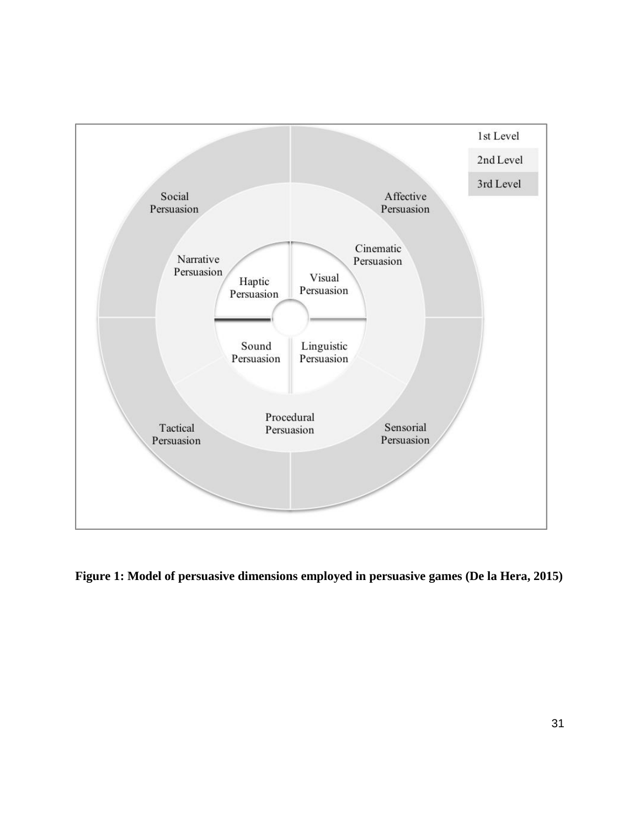

**Figure 1: Model of persuasive dimensions employed in persuasive games (De la Hera, 2015)**